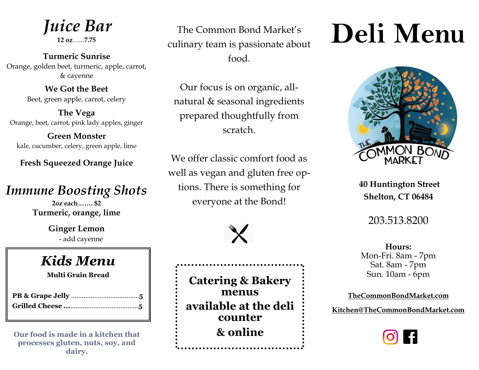*Juice Bar* 

**12 oz**…...**7.75** 

**Turmeric Sunrise** Orange, golden beet, turmeric, apple, carrot, & cayenne

> **We Got the Beet** Beet, green apple, carrot, celery

**The Vega** Orange, beet, carrot, pink lady apples, ginger

**Green Monster** kale, cucumber, celery, green apple, lime

**Fresh Squeezed Orange Juice** 

## *Immune Boosting Shots*

**2oz each……. \$2 Turmeric, orange, lime** 

> **Ginger Lemon** - add cayenne

# *Kids Menu*

**Multi Grain Bread** 

**Our food is made in a kitchen that processes gluten, nuts, soy, and dairy.**

The Common Bond Market's culinary team is passionate about food.

Our focus is on organic, allnatural & seasonal ingredients prepared thoughtfully from scratch.

We offer classic comfort food as well as vegan and gluten free options. There is something for everyone at the Bond!



**Catering & Bakery menus available at the deli counter & online**

# **Deli Menu**



**40 Huntington Street Shelton, CT 06484**

### 203.513.8200

**Hours:**  Mon-Fri. 8am - 7pm Sat. 8am - 7pm Sun. 10am - 6pm

**TheCommonBondMarket.com**

**Kitchen@TheCommonBondMarket.com**